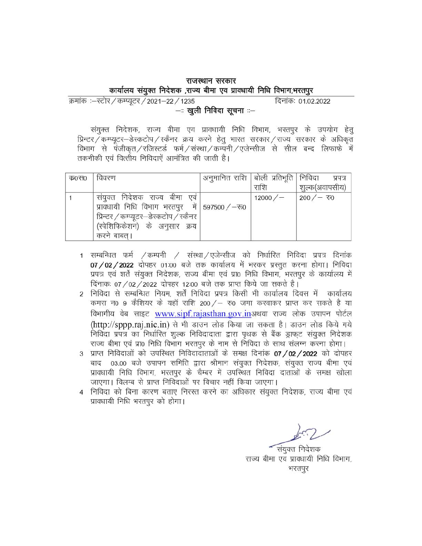#### राजस्थान सरकार कार्यालय संयुक्त निदेशक ,राज्य बीमा एव प्रावधायी निधि विभाग,भरतपुर

क्रमांक :- स्टोर / कम्प्यूटर / 2021-22 / 1235 दिनांकः 01.02.2022 —ः खुली निविदा सूचना ः—

संयुक्त निदेशक, राज्य बीमा एव प्रावधायी निधि विभाग, भरतपुर के उपयोग हेत् प्रिन्टर/कम्प्यूटर-डेस्कटोप/स्कैनर क्रय करने हेतु भारत सरकार/राज्य सरकार के अधिकृत विभाग से पंजीकृत/रजिस्टर्ड फर्म/संस्था/कम्पनी/एजेन्सीज से सील बन्द लिफाफे में तकनीकी एवं वित्तीय निविदाऐं आमंत्रित की जाती है।

| <b>OFFOQD</b> | विवरण                                                                                                                                                                      | अनुमानित राशि   बोली प्रतिभूति   निविदा | राशि        | प्रपत्र<br>शुल्क(अवापसीय) |
|---------------|----------------------------------------------------------------------------------------------------------------------------------------------------------------------------|-----------------------------------------|-------------|---------------------------|
|               | संयुक्त निदेशक राज्य बीमा एवं  <br>प्राक्धायी निधि विभाग भरतपुर में 597500/-रू0<br>प्रिन्टर / कम्प्यूटर-डेस्कटोप / स्कैनर  <br>(स्पेशिफिकेशन) के अनुसार क्रय<br>करने बाबत। |                                         | $12000 / -$ | 200/ $ \overline{0}$      |

- 1 सम्बन्धित फर्म /कम्पनी / संस्था/एजेन्सीज को निर्धारित निविदा प्रपत्र दिनांक 07/02/2022 दोपहर 01:00 बजे तक कार्यालय में भरकर प्रस्तुत करना होगा। निविदा प्रपत्र एवं शर्ते संयुक्त निदेशक, राज्य बीमा एवं प्रा0 निधि विभाग, भरतपुर के कार्यालय में दिंनाकः 07 / 02 / 2022 दोपहर 12:00 बजे तक प्राप्त किये जा सकते है।
- 2 निविदा से सम्बन्धित नियम, शर्तें निविदा प्रपत्र किसी भी कार्यालय दिवस में कार्यालय कमरा न0 9 कैशियर के यहाँ राशि 200/– रु0 जमा करवाकर प्राप्त कर सकते है या विभागीय वेब साइट www.sipf.rajasthan.gov.inअथवा राज्य लोक उपापन पोर्टल (http://sppp.raj.nic.in) से भी डाउन लोड किया जा सकता है। डाउन लोड किये गये निविदा प्रपत्र का निर्धारित शुल्क निविदादाता द्वारा पृथक से बैंक ड्राफट संयुक्त निदेशक राज्य बीमा एवं प्रा0 निधि विभाग भरतपूर के नाम से निविदा के साथ संलग्न करना होगा।
- 3 प्राप्त निविदाओं को उपस्थित निविदादाताओं के समक्ष दिनांक 07/02/2022 को दोपहर बाद 03.00 बजे उपापन समिति द्वारा श्रीमान संयुक्त निदेशक, संयुक्त राज्य बीमा एवं प्रावधायी निधि विभाग, भरतपुर के चैम्बर में उपस्थित निविदा दाताओं के समक्ष खोला जाएगा। विलम्ब से प्राप्त निविदाओं पर विचार नहीं किया जाएगा।
- निविदा को बिना कारण बताए निरस्त करने का अधिकार संयुक्त निदेशक, राज्य बीमा एवं प्रावधायी निधि भरतपुर को होगा।

संयुक्त निदेशक राज्य बीमा एव प्राक्धायी निधि विभाग, भरतपुर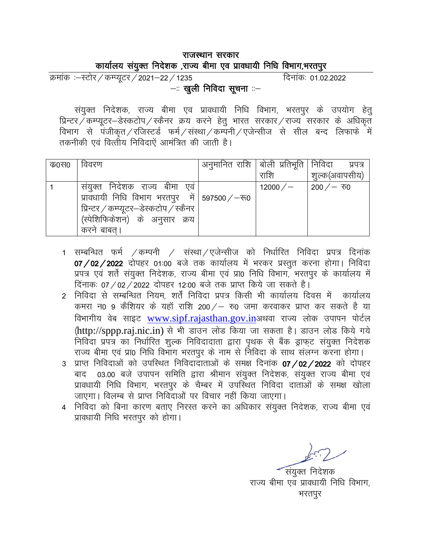#### राजस्थान सरकार कार्यालय संयुक्त निदेशक ,राज्य बीमा एव प्रावधायी निधि विभाग,भरतपुर

क्रमांक :-स्टोर / कम्प्यूटर / 2021-22 / 1235 दिनांक: 01.02.2022 - खुली निविदा सूचना :-

संयुक्त निदेशक, राज्य बीमा एव प्रावधायी निधि विभाग, भरतपुर के उपयोग हेतू प्रिन्टर / कम्प्यूटर-डेस्कटोप / स्कैनर क्रय करने हेतु भारत सरकार / राज्य सरकार के अधिकृत विभाग से पंजीकृत / रजिस्टर्ड फर्म / संस्था / कम्पनी / एजेन्सीज से सील बन्द लिफाफे में तकनीकी एवं वित्तीय निविदाएं आमंत्रित की जाती है।

| क0स0 | विवरण                                           | अनुमानित राशि  बोली प्रतिभूति   निविदा |           | प्रपत्र                    |
|------|-------------------------------------------------|----------------------------------------|-----------|----------------------------|
|      |                                                 |                                        | राशि      | शुल्क(अवापसीय)             |
|      | संयुक्त निदेशक राज्य बीमा एवं                   |                                        | 12000 $/$ | 200 $/$ – $\overline{v}$ 0 |
|      | प्रावधायी निधि विभाग भरतपुर में 597500/ $-$ रू0 |                                        |           |                            |
|      | प्रिन्टर / कम्प्यूटर–डेस्कटोप / स्कैनर          |                                        |           |                            |
|      | (स्पेशिफिकेशन) के अनुसार क्रय                   |                                        |           |                            |
|      | करने बाबत।                                      |                                        |           |                            |

- 1 सम्बन्धित फर्म /कम्पनी / संस्था/एजेन्सीज को निर्धारित निविदा प्रपत्र दिनांक 07/02/2022 दोपहर 01:00 बजे तक कार्यालय में भरकर प्रस्तूत करना होगा। निविदा प्रपत्र एवं शर्ते संयुक्त निदेशक, राज्य बीमा एवं प्रा0 निधि विभाग, भरतपुर के कार्यालय में दिनाक: 07 / 02 / 2022 दोपहर 12:00 बजे तक प्राप्त किये जा सकते है।
- 2 निविदा से सम्बन्धित नियम, शर्तें निविदा प्रपत्र किसी भी कार्यालय दिवस में कार्यालय कमरा न0 9 कैशियर के यहाँ राशि 200/ – रु0 जमा करवाकर प्राप्त कर सकते है या विभागीय वेब साइट www.sipf.rajasthan.gov.inअथवा राज्य लोक उपापन पोर्टल (http://sppp.raj.nic.in) से भी डाउन लोड किया जा सकता है। डाउन लोड किये गये निविदा प्रपत्र का निर्धारित शुल्क निविदादाता द्वारा पृथक से बैंक ड्राफट संयुक्त निदेशक राज्य बीमा एवं प्रा0 निधि विभाग भरतपुर के नाम से निविदा के साथ संलग्न करना होगा।
- प्राप्त निविदाओं को उपस्थित निविदादाताओं के समक्ष दिनांक 07 / 02 / 2022 को दोपहर  $\mathbf{R}$ बाद 03.00 बजे उपापन समिति द्वारा श्रीमान संयुक्त निदेशक, संयुक्त राज्य बीमा एवं प्रावधायी निधि विभाग, भरतपुर के चैम्बर में उपस्थित निविदा दाताओं के समक्ष खोला जाएगा। विलम्ब से प्राप्त निविदाओं पर विचार नहीं किया जाएगा।
- 4 निविदा को बिना कारण बताए निरस्त करने का अधिकार संयुक्त निदेशक, राज्य बीमा एवं प्रावधायी निधि भरतपुर को होगा।

संयुक्त निदेशक राज्य बीमा एव प्रावधायी निधि विभाग, भरतपुर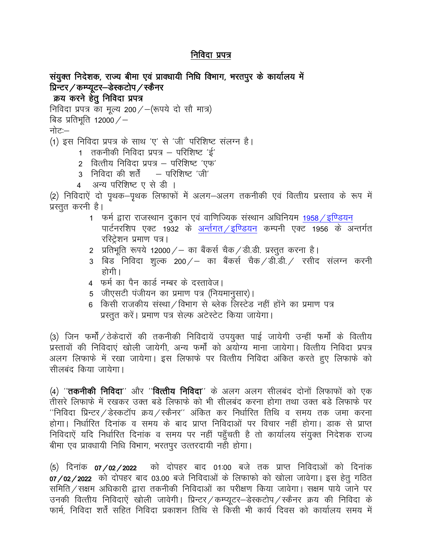## निविदा प्रपत्र

```
संयुक्त निदेशक, राज्य बीमा एवं प्रावधायी निधि विभाग, भरतपुर के कार्यालय में
प्रिन्टर / कम्प्यूटर–डेस्कटोप / स्कैनर
 क्रय करने हेतू निविदा प्रपत्र
निविदा प्रपत्र का मूल्य 200/-(रूपये दो सौ मात्र)
```

```
बिड प्रतिभूति 12000/-
```
नोट:—

(1) इस निविदा प्रपत्र के साथ 'ए' से 'जी' परिशिष्ट संलग्न है।

- 1 तकनीकी निविदा प्रपत्र परिशिष्ट 'ई'
- 2 वित्तीय निविदा प्रपत्र परिशिष्ट 'एफ'
- 3 निविदा की शर्तें परिशिष्ट 'जी'
- अन्य परिशिष्ट ए से डी ।  $\overline{4}$

(2) निविदाऐं दो पृथक–पृथक लिफाफों में अलग–अलग तकनीकी एवं वित्तीय प्रस्ताव के रूप में प्रस्तुत करनी है।

- 1 फर्म द्वारा राजस्थान दुकान एवं वाणिज्यिक संस्थान अधिनियम 1958 / इण्डियन पार्टनरशिप एक्ट 1932 के अर्न्तगत/इण्डियन कम्पनी एक्ट 1956 के अन्तर्गत रस्ट्रिंशन प्रमाण पत्र।
- 2 प्रतिभूति रूपये 12000 / का बैंकर्स चैक / डी.डी. प्रस्तुत करना है।
- 3 बिड निविदा शुल्क 200/– का बैंकर्स चैक/डी.डी./ रसीद संलग्न करनी होगी ।
- 4 फर्म का पैन कार्ड नम्बर के दस्तावेज।
- 5 जीएसटी पंजीयन का प्रमाण पत्र (नियमानुसार)।
- 6) किसी राजकीय संस्था / विभाग से ब्लेक लिस्टेड नहीं होंने का प्रमाण पत्र प्रस्तूत करें। प्रमाण पत्र सेल्फ अटेस्टेट किया जायेगा।

(3) जिन फर्मों / ठेकेदारों की तकनीकी निविदायें उपयुक्त पाई जायेगी उन्हीं फर्मों के वित्तीय ्<br>प्रस्तावों की निविदाएं खोली जायेगी, अन्य फर्मों को अयोग्य माना जायेगा। वित्तीय निविदा प्रपत्र अलग लिफाफे में रखा जायेगा। इस लिफाफे पर वित्तीय निविदा अंकित करते हुए लिफाफे को सीलबंद किया जायेगा।

(4) ''**तकनीकी निविदा**'' और ''**वित्तीय निविदा**'' के अलग अलग सीलबंद दोनों लिफाफों को एक तीसरे लिफाफे में रखकर उक्त बडे लिफाफे को भी सीलबंद करना होगा तथा उक्त बडे लिफाफे पर ''निविदा प्रिन्टर / डेस्कटॉप क्रय / स्कैनर'' अंकित कर निर्धारित तिथि व समय तक जमा करना होगा। निर्धारित दिनांक व समय के बाद प्राप्त निविदाओं पर विचार नहीं होगा। डाक से प्राप्त निविदाएें यदि निर्धारित दिनांक व समय पर नहीं पहुँचती है तो कार्यालय संयुक्त निदेशक राज्य बीमा एव प्रावधायी निधि विभाग, भरतपुर उत्तरदायी नही होगा।

को दोपहर बाद 01:00 बजे तक प्राप्त निविदाओं को दिनांक (5) दिनांक o7 /o2 /2022 07/02/2022 को दोपहर बाद 03.00 बजे निविदाओं के लिफाफो को खोला जावेगा। इस हेतु गठित समिति / सक्षम अधिकारी द्वारा तकनीकी निविदाओं का परीक्षण किया जावेगा। सक्षम पाये जाने पर उनकी वित्तीय निविदाऐं खोली जावेगी। प्रिन्टर / कम्प्यूटर-डेस्कटोप / स्कैनर क्रय की निविदा के फार्म, निविदा शर्तें सहित निविदा प्रकाशन तिथि से किसी भी कार्य दिवस को कार्यालय समय में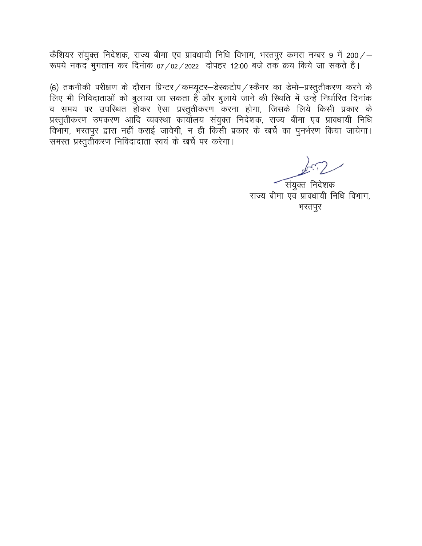कैशियर संयुक्त निदेशक, राज्य बीमा एव प्रावधायी निधि विभाग, भरतपुर कमरा नम्बर 9 में 200/ $-$ रूपये नकद भुगतान कर दिनांक 07/02/2022 दोपहर 12:00 बजे तक क्रय किये जा सकते है।

(6) तकनीकी परीक्षण के दौरान प्रिन्टर / कम्प्यूटर-डेस्कटोप / स्कैनर का डेमो-प्रस्तुतीकरण करने के लिए भी निविदाताओं को बुलाया जा सकता है और बुलाये जाने की स्थिति में उन्हें निर्धारित दिनांक व समय पर उपस्थित होकर ऐसा प्रस्तुतीकरण करना होगा, जिसके लिये किसी प्रकार के प्रस्तुतीकरण उपकरण आदि व्यवस्था कार्यालय संयुक्त निदेशक, राज्य बीमा एव प्रावधायी निधि विभाग, भरतपुर द्वारा नहीं कराई जावेगी, न ही किसी प्रकार के खर्चे का पुनर्भरण किया जायेगा। समस्त प्रस्तुर्तोकरण निविदादाता स्वयं के खर्चे पर करेगा।

संयुक्त निदेशक राज्य बीमा एव प्रावधायी निधि विभाग, भरतपुर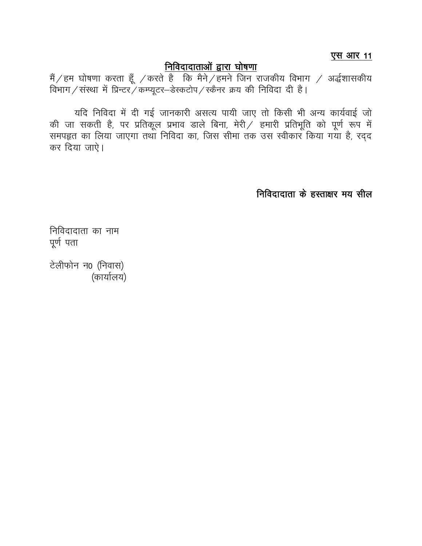एस आर 11

## नि<u>विदादाताओं द्वारा घोषणा</u>

यदि निविदा में दी गई जानकारी असत्य पायी जाए तो किसी भी अन्य कार्यवाई जो की जा सकती है, पर प्रतिकूल प्रभाव डाले बिना, मेरी / हमारी प्रतिभूति को पूर्ण रूप में समपहृत का लिया जाएगा तथा निविदा का, जिस सीमा तक उस स्वीकार किया गया है, रदद कर दिया जाऐ।

निविदादाता के हस्ताक्षर मय सील

निविदादाता का नाम पर्ण पता

टेलीफोन न0 (निवास) (कार्यालय)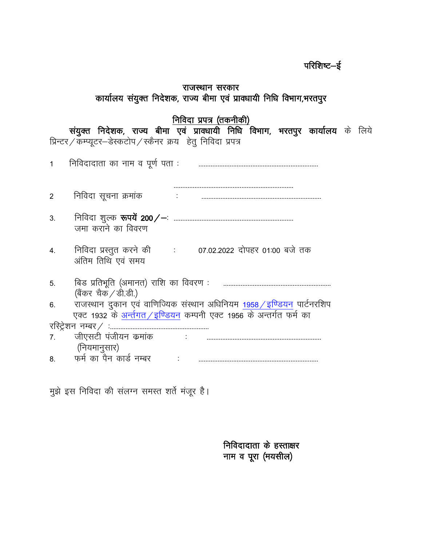## परिशिष्ट $-\xi$

#### राजस्थान सरकार कार्यालय संयुक्त निदेशक, राज्य बीमा एवं प्रावधायी निधि विभाग,भरतपुर

### <u>निविदा प्रपत्र (तकनीकी)</u>

संयुक्त निदेशक, राज्य बीमा एवं प्रावधायी निधि विभाग, भरतपुर कार्यालय के लिये प्रिन्टर ⁄ कम्प्यूटर—डेस्कटोप ⁄ स्कैनर क्रय हेतु निविदा प्रपत्र

| $\overline{1}$ | निविदादाता का नाम व पूर्ण पता:                                                                                                                        |
|----------------|-------------------------------------------------------------------------------------------------------------------------------------------------------|
| $\overline{2}$ | निविदा सूचना क्रमांक                                                                                                                                  |
| 3.             | जमा कराने का विवरण                                                                                                                                    |
| 4.             | निविदा प्रस्तुत करने की : 07.02.2022 दोपहर 01:00 बजे तक<br>अंतिम तिथि एवं समय                                                                         |
| 5.             | बिड प्रतिभूति (अमानत) राशि का विवरण :<br>(बैंकर चैक / डी.डी.)                                                                                         |
| 6.             | राजस्थान दुकान एवं वाणिज्यिक संस्थान अधिनियम 1958 <i>/</i> इण्डियन पार्टनरशिप<br>एक्ट 1932 के अर्न्तगत / इण्डियन कम्पनी एक्ट 1956 के अन्तर्गत फर्म का |
|                | रस्ट्रिंशन नम्बर ∕ :                                                                                                                                  |
| 7 <sup>1</sup> | जीएसटी पंजीयन कमांक<br><b>Contract Contract</b><br>(नियमानुसार)                                                                                       |
|                | 8. – फर्म का पैन कार्ड नम्बर                                                                                                                          |

मुझे इस निविदा की संलग्न समस्त शर्ते मंजूर है।

निविदादाता के हस्ताक्षर नाम व पूरा (मयसील)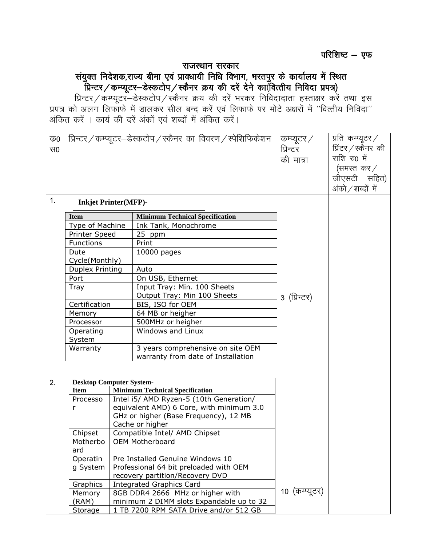# राजस्थान सरकार संयुक्त निदेशक,राज्य बीमा एवं प्रावधायी निधि विभाग, भरतपुर के कार्यालय में स्थित<br>प्रिन्टर / कम्प्यूटर—डेस्कटोप / स्कैनर क्रय की दरें देने का(वित्तीय निविदा प्रपत्र)

 $\frac{1}{2}$ ्रिन्टर / कम्प्यूटर—डेस्कटोप / स्कैनर क्रय की दरें भरकर निविदादाता हस्ताक्षर करें तथा इस प्रपत्र को अलग लिफाफे में डालकर सील बन्द करें एवं लिफाफे पर मोटे अक्षरों में "वित्तीय निविदा" अंकित करें । कार्य की दरें अंकों एवं शब्दों में अंकित करें।

| क0 |                                 |  | प्रिन्टर / कम्प्यूटर-डेस्कटोप / स्कैनर का विवरण / स्पेशिफिकेशन | कम्प्यूटर $\diagup$ | प्रति कम्प्यूटर $\angle$    |                     |
|----|---------------------------------|--|----------------------------------------------------------------|---------------------|-----------------------------|---------------------|
| स0 |                                 |  |                                                                |                     | प्रिन्टर                    | प्रिंटर / स्कैनर)की |
|    |                                 |  |                                                                |                     | की मात्रा                   | राशि रु0 में        |
|    |                                 |  |                                                                |                     | (समस्त $\sigma$ कर $\angle$ |                     |
|    |                                 |  |                                                                |                     |                             |                     |
|    |                                 |  |                                                                |                     |                             | जीएसटी सहित)        |
|    |                                 |  |                                                                |                     |                             | अंको ⁄ शब्दों में   |
| 1. | <b>Inkjet Printer(MFP)-</b>     |  |                                                                |                     |                             |                     |
|    | <b>Item</b>                     |  | <b>Minimum Technical Specification</b>                         |                     |                             |                     |
|    | Type of Machine                 |  | Ink Tank, Monochrome                                           |                     |                             |                     |
|    | <b>Printer Speed</b>            |  | 25 ppm                                                         |                     |                             |                     |
|    | Functions                       |  | Print                                                          |                     |                             |                     |
|    | Dute                            |  | 10000 pages                                                    |                     |                             |                     |
|    | Cycle(Monthly)                  |  |                                                                |                     |                             |                     |
|    | <b>Duplex Printing</b>          |  | Auto                                                           |                     |                             |                     |
|    | Port                            |  | On USB, Ethernet                                               |                     |                             |                     |
|    | Tray                            |  | Input Tray: Min. 100 Sheets                                    |                     |                             |                     |
|    |                                 |  | Output Tray: Min 100 Sheets                                    |                     | ३ (प्रिन्टर)                |                     |
|    | Certification                   |  | BIS, ISO for OEM                                               |                     |                             |                     |
|    | Memory                          |  | 64 MB or heigher                                               |                     |                             |                     |
|    | Processor                       |  | 500MHz or heigher                                              |                     |                             |                     |
|    | Operating                       |  | Windows and Linux                                              |                     |                             |                     |
|    | System                          |  |                                                                |                     |                             |                     |
|    | Warranty                        |  | 3 years comprehensive on site OEM                              |                     |                             |                     |
|    |                                 |  | warranty from date of Installation                             |                     |                             |                     |
|    |                                 |  |                                                                |                     |                             |                     |
| 2. | <b>Desktop Computer System-</b> |  |                                                                |                     |                             |                     |
|    | <b>Item</b>                     |  | <b>Minimum Technical Specification</b>                         |                     |                             |                     |
|    | Processo                        |  | Intel i5/ AMD Ryzen-5 (10th Generation/                        |                     |                             |                     |
|    | r                               |  | equivalent AMD) 6 Core, with minimum 3.0                       |                     |                             |                     |
|    |                                 |  | GHz or higher (Base Frequency), 12 MB                          |                     |                             |                     |
|    |                                 |  | Cache or higher                                                |                     |                             |                     |
|    | Chipset                         |  | Compatible Intel/ AMD Chipset                                  |                     |                             |                     |
|    | Motherbo                        |  | OEM Motherboard                                                |                     |                             |                     |
|    | ard                             |  |                                                                |                     |                             |                     |
|    | Operatin                        |  | Pre Installed Genuine Windows 10                               |                     |                             |                     |
|    | g System                        |  | Professional 64 bit preloaded with OEM                         |                     |                             |                     |
|    |                                 |  | recovery partition/Recovery DVD                                |                     |                             |                     |
|    | Graphics                        |  | <b>Integrated Graphics Card</b>                                |                     |                             |                     |
|    | Memory                          |  | 8GB DDR4 2666 MHz or higher with                               |                     | 10 (कम्प्यूटर)              |                     |
|    | (RAM)                           |  | minimum 2 DIMM slots Expandable up to 32                       |                     |                             |                     |
|    | Storage                         |  | 1 TB 7200 RPM SATA Drive and/or 512 GB                         |                     |                             |                     |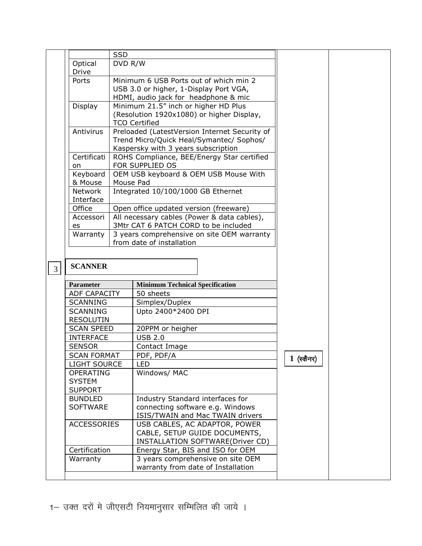|                |                             | <b>SSD</b> |                                               |              |  |
|----------------|-----------------------------|------------|-----------------------------------------------|--------------|--|
|                | Optical                     | DVD R/W    |                                               |              |  |
|                | Drive                       |            |                                               |              |  |
|                | Ports                       |            | Minimum 6 USB Ports out of which min 2        |              |  |
|                |                             |            | USB 3.0 or higher, 1-Display Port VGA,        |              |  |
|                |                             |            | HDMI, audio jack for headphone & mic          |              |  |
|                | Display                     |            | Minimum 21.5" inch or higher HD Plus          |              |  |
|                |                             |            | (Resolution 1920x1080) or higher Display,     |              |  |
|                |                             |            | <b>TCO Certified</b>                          |              |  |
|                | Antivirus                   |            | Preloaded (LatestVersion Internet Security of |              |  |
|                |                             |            | Trend Micro/Quick Heal/Symantec/ Sophos/      |              |  |
|                |                             |            | Kaspersky with 3 years subscription           |              |  |
|                | Certificati                 |            | ROHS Compliance, BEE/Energy Star certified    |              |  |
|                | on                          |            | FOR SUPPLIED OS                               |              |  |
|                | Keyboard                    |            | OEM USB keyboard & OEM USB Mouse With         |              |  |
|                | & Mouse<br>Network          | Mouse Pad  | Integrated 10/100/1000 GB Ethernet            |              |  |
|                | Interface                   |            |                                               |              |  |
|                | Office                      |            | Open office updated version (freeware)        |              |  |
|                | Accessori                   |            | All necessary cables (Power & data cables),   |              |  |
|                | es                          |            | 3Mtr CAT 6 PATCH CORD to be included          |              |  |
|                | Warranty                    |            | 3 years comprehensive on site OEM warranty    |              |  |
|                |                             |            | from date of installation                     |              |  |
|                |                             |            |                                               |              |  |
|                |                             |            |                                               |              |  |
| $\mathfrak{Z}$ | <b>SCANNER</b>              |            |                                               |              |  |
|                |                             |            |                                               |              |  |
|                | <b>Parameter</b>            |            | <b>Minimum Technical Specification</b>        |              |  |
|                | <b>ADF CAPACITY</b>         |            | 50 sheets                                     |              |  |
|                | SCANNING<br><b>SCANNING</b> |            | Simplex/Duplex                                |              |  |
|                | <b>RESOLUTIN</b>            |            | Upto 2400*2400 DPI                            |              |  |
|                | <b>SCAN SPEED</b>           |            | 20PPM or heigher                              |              |  |
|                | <b>INTERFACE</b>            |            | <b>USB 2.0</b>                                |              |  |
|                | <b>SENSOR</b>               |            | Contact Image                                 |              |  |
|                | <b>SCAN FORMAT</b>          |            | PDF, PDF/A                                    |              |  |
|                | <b>LIGHT SOURCE</b>         |            | <b>LED</b>                                    | $1$ (स्कैनर) |  |
|                | <b>OPERATING</b>            |            | Windows/ MAC                                  |              |  |
|                | <b>SYSTEM</b>               |            |                                               |              |  |
|                | <b>SUPPORT</b>              |            |                                               |              |  |
|                | <b>BUNDLED</b>              |            | Industry Standard interfaces for              |              |  |
|                | <b>SOFTWARE</b>             |            | connecting software e.g. Windows              |              |  |
|                |                             |            | ISIS/TWAIN and Mac TWAIN drivers              |              |  |
|                | <b>ACCESSORIES</b>          |            | USB CABLES, AC ADAPTOR, POWER                 |              |  |
|                |                             |            | CABLE, SETUP GUIDE DOCUMENTS,                 |              |  |
|                |                             |            | INSTALLATION SOFTWARE(Driver CD)              |              |  |
|                | Certification               |            | Energy Star, BIS and ISO for OEM              |              |  |
|                | Warranty                    |            | 3 years comprehensive on site OEM             |              |  |
|                |                             |            |                                               |              |  |
|                |                             |            | warranty from date of Installation            |              |  |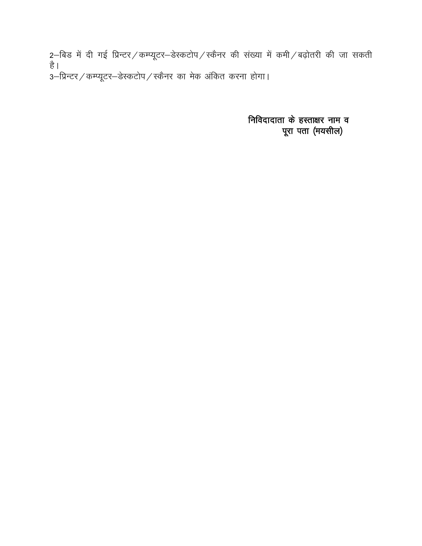2–बिड में दी गई प्रिन्टर/कम्प्यूटर–डेस्कटोप/स्कैनर की संख्या में कमी/बढ़ोतरी की जा सकती है। ...<br>3–प्रिन्टर / कम्प्यूटर–डेस्कटोप / स्कैनर का मेक अंकित करना होगा।

> निविदादाता के हस्ताक्षर नाम व पूरा पता (मयसील)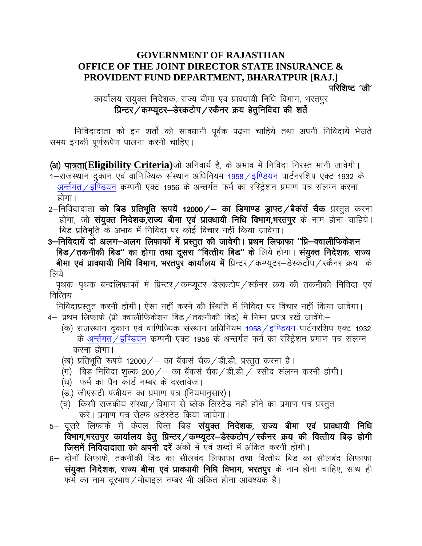#### **GOVERNMENT OF RAJASTHAN OFFICE OF THE JOINT DIRECTOR STATE INSURANCE &** PROVIDENT FUND DEPARTMENT, BHARATPUR [RAJ.] परिशिष्ट 'जी'

कार्यालय संयुक्त निदेशक, राज्य बीमा एव प्रावधायी निधि विभाग, भरतपुर प्रिन्टर / कम्प्यूटर-डेस्कटोप / स्कैनर क्रय हेतूनिविदा की शर्ते

निविदादाता को इन शर्तो को सावधानी पूर्वक पढ़ना चाहिये तथा अपनी निविदायें भेजते समय इनकी पूर्णरूपेण पालना करनी चाहिए।

(अ) पात्रता(Eligibility Criteria)जो अनिवार्य है, के अभाव में निविदा निरस्त मानी जावेगी। 1-राजस्थान दुकान एवं वाणिज्यिक संस्थान अधिनियम 1958 / इण्डियन पार्टनरशिप एक्ट 1932 के अर्न्तगत/इण्डियन कम्पनी एक्ट 1956 के अन्तर्गत फर्म का रस्ट्रिशन प्रमाण पत्र संलग्न करना होगा।

- 2–निविदादाता **को बिड प्रतिभूति रूपयें 12000/– का डिमाण्ड ड्राफ्ट/बैकर्स चैक** प्रस्तुत करना होगा, जो **संयुक्त निदेशक,राज्य बीमा एवं प्रावधायी निधि विभाग,भरतपुर** के नाम होना चाहिये। बिड प्रतिभूति के अभाव में निविदा पर कोई विचार नहीं किया जावेगा।
- 3–निविदायें दो अलग–अलग लिफाफों में प्रस्तुत की जावेगी। प्रथम लिफाफा "प्रि–क्वालीफिकेशन बिड/तकनीकी बिड" का होगा तथा दूसरा "वित्तीय बिड" के लिये होगा। संयुक्त निदेशक, राज्य बीमा एवं प्रावधायी निधि विभाग, भरतपुर कार्यालय में प्रिन्टर / कम्प्यूटर-डेस्कटोप / स्कैनर क्रय के लिये

पृथक-पृथक बन्दलिफाफों में प्रिन्टर / कम्प्यूटर-डेस्कटोप / स्कैनर क्रय की तकनीकी निविदा एवं वित्तिय

निविदाप्रस्तुत करनी होगी। ऐसा नहीं करने की स्थिति में निविदा पर विचार नहीं किया जावेगा। 4– प्रथम लिफाफे (प्री क्वालीफिकेशन बिड/तकनीकी बिड) में निम्न प्रपत्र रखें जावेंगे:–

- (क) राजस्थान दुकान एवं वाणिज्यिक संस्थान अधिनियम 1958 ⁄ इण्डियन पार्टनरशिप एक्ट 1932 के अर्न्तगत/इण्डियन कम्पनी एक्ट 1956 के अन्तर्गत फर्म का रस्ट्रिशन प्रमाण पत्र संलग्न करना होगा।
- (ख) प्रतिभूति रूपये 12000 ⁄ का बैंकर्स चैक ⁄ डी.डी. प्रस्तूत करना है।
- (ग) बिड निविदा शूल्क 200/— का बैंकर्स चैक/डी.डी./ रसीद संलग्न करनी होगी।
- (घ) फर्म का पैन कार्ड नम्बर के दस्तावेज।
- (ड.) जीएसटी पंजीयन का प्रमाण पत्र (नियमानुसार)।
- (च) किसी राजकीय संस्था/विभाग से ब्लेक लिस्टेड नहीं होंने का प्रमाण पत्र प्रस्तुत करें। प्रमाण पत्र सेल्फ अटेस्टेट किया जायेगा।
- 5– दूसरे लिफाफे में केवल वित्त बिड **संयुक्त निदेशक, राज्य बीमा एवं प्रावधायी निधि** विभाग,भरतपुर कार्यालय हेतु प्रिन्टर / कम्प्यूटर–डेस्कटोप / स्कैनर क्रय की वित्तीय बिड़ होगी जिसमें निविदादाता को अपनी दरें अंकों में एवं शब्दों में अंकित करनी होगी।
- 6— दोनों लिफाफे, तकनीकी बिड का सीलबंद लिफाफा तथा वित्तीय बिड का सीलबंद लिफाफा संयुक्त निदेशक, राज्य बीमा एवं प्रावधायी निधि विभाग, भरतपुर के नाम होना चाहिए, साथ ही फर्म का नाम दूरभाष / मोबाइल नम्बर भी अंकित होना आवश्यक है।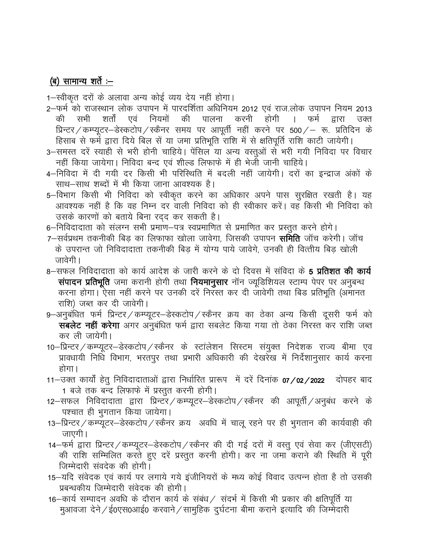## (ब) सामान्य शर्ते :--

1-स्वीकृत दरों के अलावा अन्य कोई व्यय देय नहीं होगा।

- 2–फर्म को राजस्थान लोक उपापन में पारदर्शिता अधिनियम 2012 एवं राज.लोक उपापन नियम 2013 की सभी शर्तों एवं नियमों की पालना करनी होगी फर्म  $\mathbf{L}$ द्वारा उक्त प्रिन्टर / कम्प्यूटर-डेस्कटोप / स्कैनर समय पर आपूर्ती नहीं करने पर 500 / - रू. प्रतिदिन के हिसाब से फर्म द्वारा दिये बिल सें या जमा प्रतिभूति राशि में से क्षतिपूर्ति राशि काटी जायेगी।
- 3–समस्त दरें स्याही से भरी होनी चाहिये। पेंसिल या अन्य वस्तुओं से भरी गयी निविदा पर विचार नहीं किया जायेगा। निविदा बन्द एवं शील्ड लिफाफे में ही भेजी जानी चाहिये।
- 4–निविदा में दी गयी दर किसी भी परिस्थिति में बदली नहीं जायेगी। दरों का इन्द्राज अंकों के साथ–साथ शब्दों में भी किया जाना आवश्यक है।
- 5-विभाग किसी भी निविदा को स्वीकृत करने का अधिकार अपने पास सूरक्षित रखती है। यह आवश्यक नहीं है कि वह निम्न दर वाली निविदा को ही स्वीकार करें। वह किसी भी निविदा को उसके कारणों को बताये बिना रदद कर सकती है।
- 6–निविदादाता को संलग्न सभी प्रमाण–पत्र स्वप्रमाणित से प्रमाणित कर प्रस्तुत करने होगे।
- 7–सर्वप्रथम तकनीकी बिड का लिफाफा खोला जावेगा, जिसकी उपापन **समिति** जॉच करेगी। जॉच के उपरान्त जो निविदादाता तकनीकी बिड में योग्य पाये जावेगे. उनकी ही वित्तीय बिड खोली जावेगी ।
- 8–सफल निविदादाता को कार्य आदेश के जारी करने के दो दिवस में संविदा के **5 प्रतिशत की कार्य** संपादन प्रतिभूति जमा करानी होगी तथा नियमानुसार नॉन ज्यूडिशियल स्टाम्प पेपर पर अनुबन्ध करना होगा। ऐसा नहीं करने पर उनकी दरें निरस्त कर दी जावेगी तथा बिड प्रतिभूति (अमानत राशि) जब्त कर दी जावेगी।
- 9–अनुबंधित फर्म प्रिन्टर ⁄ कम्प्यूटर–डेस्कटोप ⁄ स्कैनर क्रय का ठेका अन्य किसी दूसरी फर्म को सबलेट नहीं करेगा अगर अनुबंधित फर्म द्वारा सबलेट किया गया तो ठेका निरस्त कर राशि जब्त कर ली जायेगी।
- 10–प्रिन्टर / कम्प्यूटर–डेस्कटोप / स्कैनर के स्टांलेशन सिस्टम संयुक्त निदेशक राज्य बीमा एव प्रावधायी निधि विभाग, भरतपुर तथा प्रभारी अधिकारी की देखरेख में निर्देशानुसार कार्य करना होगा।
- 11–उक्त कार्यों हेतू निविदादाताओं द्वारा निर्धारित प्रारूप में दरें दिनांक **07/02/2022** दोपहर बाद 1 बजे तक बन्द लिफाफे में प्रस्तुत करनी होगी।
- 12–सफल निविदादाता द्वारा प्रिन्टर / कम्प्यूटर–डेस्कटोप / स्कैनर की आपूर्ती / अनुबंध करने के पश्चात ही भुगतान किया जायेगा।
- 13-प्रिन्टर / कम्प्यूटर-डेस्कटोप / स्कैनर क्रय अवधि में चालू रहने पर ही भुगतान की कार्यवाही की जाएगी।
- 14-फर्म द्वारा प्रिन्टर / कम्प्यूटर-डेस्कटोप / स्कैनर की दी गई दरों में वस्तू एवं सेवा कर (जीएसटी) की राशि सम्मिलित करते हुए दरें प्रस्तुत करनी होगी। कर ना जमा कराने की स्थिति में पूरी जिम्मेदारी संवदेक की होगी।
- 15–यदि संवेदक एवं कार्य पर लगाये गये इंजीनियरों के मध्य कोई विवाद उत्पन्न होता है तो उसकी प्रबन्धकीय जिम्मेदारी संवेदक की होगी।
- 16–कार्य सम्पादन अवधि के दौरान कार्य के संबंध / संदर्भ में किसी भी प्रकार की क्षतिपूर्ति या मुआवजा देने / ई0एस0आई0 करवाने / सामुहिक दुर्घटना बीमा कराने इत्यादि की जिम्मेदारी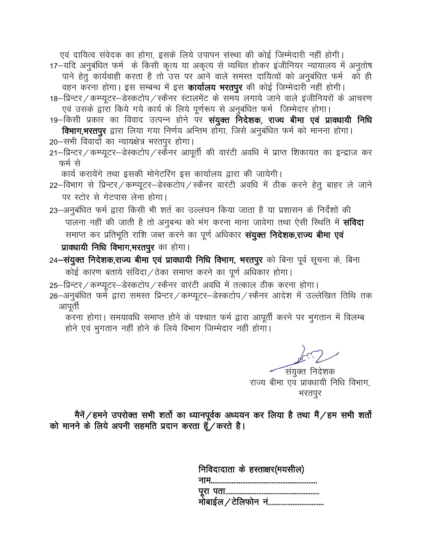एवं दायित्व संवेदक का होगा, इसके लिये उपापन संस्था की कोई जिम्मेदारी नहीं होगी। 17-यदि अनुबंधित फर्म के किसी कृत्य या अकृत्य से व्यथित होकर इंजीनियर न्यायालय में अनुतोष पाने हेतू कार्यवाही करता है तो उस पर आने वाले समस्त दायित्वों को अनुबंधित फर्म को ही वहन करना होगा। इस सम्बन्ध में इस **कार्यालय भरतपुर** की कोई जिम्मेदारी नहीं होगी।

- 18-प्रिन्टर / कम्प्यूटर-डेस्कटोप / स्कैनर स्टालमेंट के समय लगाये जाने वाले इंजीनियरों के आचरण एवं उसके द्वारा किये गये कार्य के लिये पूर्णरूप से अनुबंधित फर्म जिम्मेदार होगा।
- 19–किसी प्रकार का विवाद उत्पन्न होने पर **संयुक्त निदेशक, राज्य बीमा एवं प्रावधायी निधि** विभाग,भरतपुर द्वारा लिया गया निर्णय अन्तिम होगा, जिसे अनुबंधित फर्म को मानना होगा।
- 20-सभी विवादों का न्यायक्षेत्र भरतपुर होगा।
- 21-प्रिन्टर / कम्प्यूटर-डेस्कटोप / स्कैनर आपूर्ती की वारंटी अवधि में प्राप्त शिकायत का इन्द्राज कर फर्म से

कार्य करायेंगे तथा इसकी मोनेटरिंग इस कार्यालय द्वारा की जायेगी।

- 22-विभाग से प्रिन्टर / कम्प्यूटर-डेस्कटोप / स्कैनर वारंटी अवधि में ठीक करने हेतु बाहर ले जाने पर स्टोर से गेटपास लेना होगा।
- 23–अनुबंधित फर्म द्वारा किसी भी शर्त का उल्लंघन किया जाता है या प्रशासन के निर्देशों की पालना नहीं की जाती है तो अनुबन्ध को भंग करना माना जावेगा तथा ऐसी स्थिति में **संविदा** समाप्त कर प्रतिभूति राशि जब्त करने का पूर्ण अधिकार **संयुक्त निदेशक,राज्य बीमा एवं** प्राक्धायी निधि विभाग,भरतपुर का होगा।
- 24-संयुक्त निदेशक,राज्य बीमा एवं प्रावधायी निधि विभाग, भरतपुर को बिना पूर्व सूचना के, बिना कोई कारण बताये संविदा/ठेका समाप्त करने का पूर्ण अधिकार होगा।
- 25-प्रिन्टर / कम्प्यूटर-डेस्कटोप / स्कैनर वारंटी अवधि में तत्काल ठीक करना होगा।
- 26-अनुबंधित फर्मे द्वारा समस्त प्रिन्टर / कम्प्यूटर-डेस्कटोप / स्कैनर आदेश में उल्लेखित तिथि तक आपूती

करना होगा। समयावधि समाप्त होने के पश्चात फर्म द्वारा आपूर्ती करने पर भुगतान में विलम्ब होने एवं भुगतान नहीं होने के लिये विभाग जिम्मेदार नहीं होगा।

संयुक्त निदेशक राज्य बीमा एव प्रावधायी निधि विभाग, भरतपुर

मैनें/हमने उपरोक्त सभी शर्तो का ध्यानपूर्वक अध्ययन कर लिया है तथा मैं/हम सभी शर्तो को मानने के लिये अपनी सहमति प्रदान करता हूँ/करते है।

| निविदादाता के हस्ताक्षर(मयसील <mark>)</mark> |
|----------------------------------------------|
|                                              |
|                                              |
|                                              |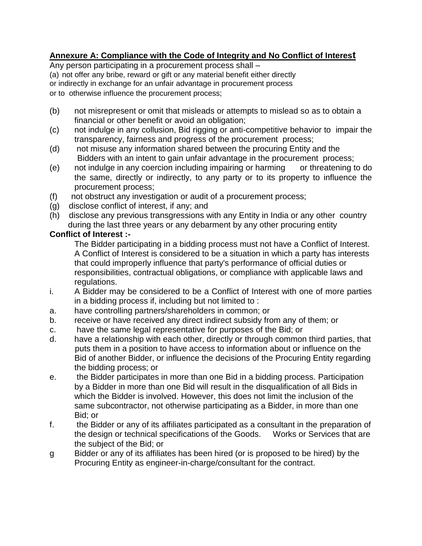#### **Annexure A: Compliance with the Code of Integrity and No Conflict of Interest**

Any person participating in a procurement process shall – (a) not offer any bribe, reward or gift or any material benefit either directly or indirectly in exchange for an unfair advantage in procurement process or to otherwise influence the procurement process;

- (b) not misrepresent or omit that misleads or attempts to mislead so as to obtain a financial or other benefit or avoid an obligation;
- (c) not indulge in any collusion, Bid rigging or anti-competitive behavior to impair the transparency, fairness and progress of the procurement process;
- (d) not misuse any information shared between the procuring Entity and the Bidders with an intent to gain unfair advantage in the procurement process;
- (e) not indulge in any coercion including impairing or harming or threatening to do the same, directly or indirectly, to any party or to its property to influence the procurement process;
- (f) not obstruct any investigation or audit of a procurement process;
- (g) disclose conflict of interest, if any; and
- (h) disclose any previous transgressions with any Entity in India or any other country during the last three years or any debarment by any other procuring entity

#### **Conflict of Interest :-**

The Bidder participating in a bidding process must not have a Conflict of Interest. A Conflict of Interest is considered to be a situation in which a party has interests that could improperly influence that party's performance of official duties or responsibilities, contractual obligations, or compliance with applicable laws and regulations.

- i. A Bidder may be considered to be a Conflict of Interest with one of more parties in a bidding process if, including but not limited to :
- a. have controlling partners/shareholders in common; or
- b. receive or have received any direct indirect subsidy from any of them; or
- c. have the same legal representative for purposes of the Bid; or
- d. have a relationship with each other, directly or through common third parties, that puts them in a position to have access to information about or influence on the Bid of another Bidder, or influence the decisions of the Procuring Entity regarding the bidding process; or
- e. the Bidder participates in more than one Bid in a bidding process. Participation by a Bidder in more than one Bid will result in the disqualification of all Bids in which the Bidder is involved. However, this does not limit the inclusion of the same subcontractor, not otherwise participating as a Bidder, in more than one Bid; or
- f. the Bidder or any of its affiliates participated as a consultant in the preparation of the design or technical specifications of the Goods. Works or Services that are the subject of the Bid; or
- g Bidder or any of its affiliates has been hired (or is proposed to be hired) by the Procuring Entity as engineer-in-charge/consultant for the contract.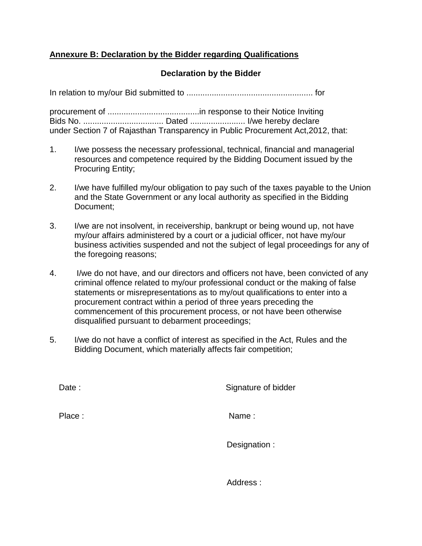#### **Annexure B: Declaration by the Bidder regarding Qualifications**

#### **Declaration by the Bidder**

In relation to my/our Bid submitted to ....................................................... for

procurement of ........................................in response to their Notice Inviting Bids No. ................................... Dated ........................ I/we hereby declare under Section 7 of Rajasthan Transparency in Public Procurement Act,2012, that:

- 1. I/we possess the necessary professional, technical, financial and managerial resources and competence required by the Bidding Document issued by the Procuring Entity;
- 2. I/we have fulfilled my/our obligation to pay such of the taxes payable to the Union and the State Government or any local authority as specified in the Bidding Document;
- 3. I/we are not insolvent, in receivership, bankrupt or being wound up, not have my/our affairs administered by a court or a judicial officer, not have my/our business activities suspended and not the subject of legal proceedings for any of the foregoing reasons;
- 4. I/we do not have, and our directors and officers not have, been convicted of any criminal offence related to my/our professional conduct or the making of false statements or misrepresentations as to my/out qualifications to enter into a procurement contract within a period of three years preceding the commencement of this procurement process, or not have been otherwise disqualified pursuant to debarment proceedings;
- 5. I/we do not have a conflict of interest as specified in the Act, Rules and the Bidding Document, which materially affects fair competition;

Date : Signature of bidder

Place : Name : Name : Name : Name : Name : Name : Name : Name : Name : Name : Name :  $\mathsf{Name} \mathsf{ }$  :

Designation :

Address :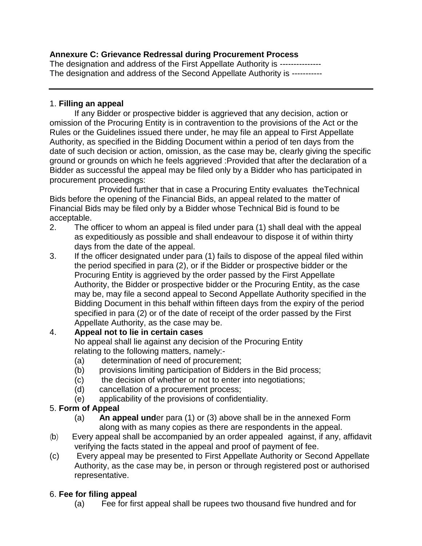#### **Annexure C: Grievance Redressal during Procurement Process**

The designation and address of the First Appellate Authority is ----------------The designation and address of the Second Appellate Authority is -----------

#### 1. **Filling an appeal**

If any Bidder or prospective bidder is aggrieved that any decision, action or omission of the Procuring Entity is in contravention to the provisions of the Act or the Rules or the Guidelines issued there under, he may file an appeal to First Appellate Authority, as specified in the Bidding Document within a period of ten days from the date of such decision or action, omission, as the case may be, clearly giving the specific ground or grounds on which he feels aggrieved :Provided that after the declaration of a Bidder as successful the appeal may be filed only by a Bidder who has participated in procurement proceedings:

Provided further that in case a Procuring Entity evaluates theTechnical Bids before the opening of the Financial Bids, an appeal related to the matter of Financial Bids may be filed only by a Bidder whose Technical Bid is found to be acceptable.

- 2. The officer to whom an appeal is filed under para (1) shall deal with the appeal as expeditiously as possible and shall endeavour to dispose it of within thirty days from the date of the appeal.
- 3. If the officer designated under para (1) fails to dispose of the appeal filed within the period specified in para (2), or if the Bidder or prospective bidder or the Procuring Entity is aggrieved by the order passed by the First Appellate Authority, the Bidder or prospective bidder or the Procuring Entity, as the case may be, may file a second appeal to Second Appellate Authority specified in the Bidding Document in this behalf within fifteen days from the expiry of the period specified in para (2) or of the date of receipt of the order passed by the First Appellate Authority, as the case may be.

#### 4. **Appeal not to lie in certain cases**

No appeal shall lie against any decision of the Procuring Entity relating to the following matters, namely:-

- (a) determination of need of procurement;
- (b) provisions limiting participation of Bidders in the Bid process;
- (c) the decision of whether or not to enter into negotiations;
- (d) cancellation of a procurement process;
- (e) applicability of the provisions of confidentiality.

#### 5. **Form of Appeal**

- (a) **An appeal und**er para (1) or (3) above shall be in the annexed Form along with as many copies as there are respondents in the appeal.
- (b) Every appeal shall be accompanied by an order appealed against, if any, affidavit verifying the facts stated in the appeal and proof of payment of fee.
- (c) Every appeal may be presented to First Appellate Authority or Second Appellate Authority, as the case may be, in person or through registered post or authorised representative.

#### 6. **Fee for filing appeal**

(a) Fee for first appeal shall be rupees two thousand five hundred and for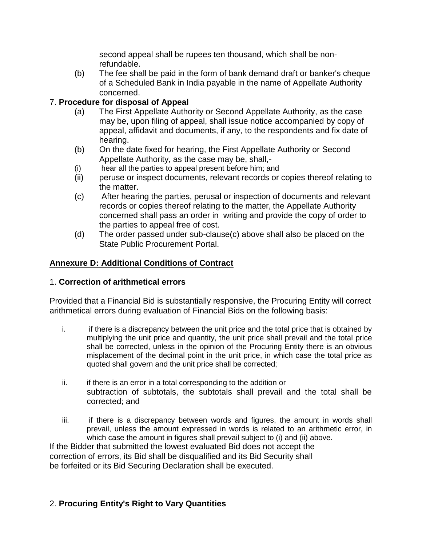second appeal shall be rupees ten thousand, which shall be nonrefundable.

(b) The fee shall be paid in the form of bank demand draft or banker's cheque of a Scheduled Bank in India payable in the name of Appellate Authority concerned.

#### 7. **Procedure for disposal of Appeal**

- (a) The First Appellate Authority or Second Appellate Authority, as the case may be, upon filing of appeal, shall issue notice accompanied by copy of appeal, affidavit and documents, if any, to the respondents and fix date of hearing.
- (b) On the date fixed for hearing, the First Appellate Authority or Second Appellate Authority, as the case may be, shall,-
- (i) hear all the parties to appeal present before him; and
- (ii) peruse or inspect documents, relevant records or copies thereof relating to the matter.
- (c) After hearing the parties, perusal or inspection of documents and relevant records or copies thereof relating to the matter, the Appellate Authority concerned shall pass an order in writing and provide the copy of order to the parties to appeal free of cost.
- (d) The order passed under sub-clause(c) above shall also be placed on the State Public Procurement Portal.

#### **Annexure D: Additional Conditions of Contract**

#### 1. **Correction of arithmetical errors**

Provided that a Financial Bid is substantially responsive, the Procuring Entity will correct arithmetical errors during evaluation of Financial Bids on the following basis:

- i. if there is a discrepancy between the unit price and the total price that is obtained by multiplying the unit price and quantity, the unit price shall prevail and the total price shall be corrected, unless in the opinion of the Procuring Entity there is an obvious misplacement of the decimal point in the unit price, in which case the total price as quoted shall govern and the unit price shall be corrected;
- ii. if there is an error in a total corresponding to the addition or subtraction of subtotals, the subtotals shall prevail and the total shall be corrected; and
- iii. if there is a discrepancy between words and figures, the amount in words shall prevail, unless the amount expressed in words is related to an arithmetic error, in which case the amount in figures shall prevail subject to (i) and (ii) above.

If the Bidder that submitted the lowest evaluated Bid does not accept the correction of errors, its Bid shall be disqualified and its Bid Security shall be forfeited or its Bid Securing Declaration shall be executed.

#### 2. **Procuring Entity's Right to Vary Quantities**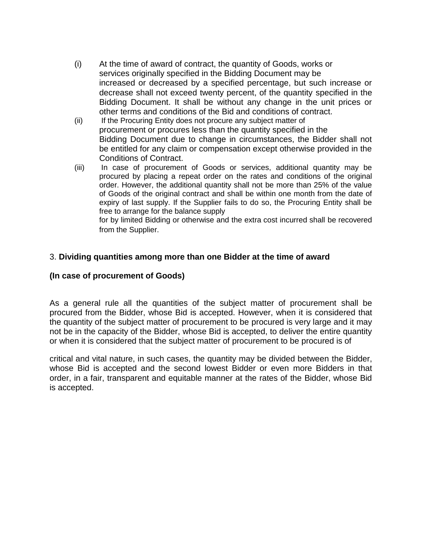- (i) At the time of award of contract, the quantity of Goods, works or services originally specified in the Bidding Document may be increased or decreased by a specified percentage, but such increase or decrease shall not exceed twenty percent, of the quantity specified in the Bidding Document. It shall be without any change in the unit prices or other terms and conditions of the Bid and conditions of contract.
- (ii) If the Procuring Entity does not procure any subject matter of procurement or procures less than the quantity specified in the Bidding Document due to change in circumstances, the Bidder shall not be entitled for any claim or compensation except otherwise provided in the Conditions of Contract.
- (iii) In case of procurement of Goods or services, additional quantity may be procured by placing a repeat order on the rates and conditions of the original order. However, the additional quantity shall not be more than 25% of the value of Goods of the original contract and shall be within one month from the date of expiry of last supply. If the Supplier fails to do so, the Procuring Entity shall be free to arrange for the balance supply for by limited Bidding or otherwise and the extra cost incurred shall be recovered

from the Supplier.

#### 3. **Dividing quantities among more than one Bidder at the time of award**

#### **(In case of procurement of Goods)**

As a general rule all the quantities of the subject matter of procurement shall be procured from the Bidder, whose Bid is accepted. However, when it is considered that the quantity of the subject matter of procurement to be procured is very large and it may not be in the capacity of the Bidder, whose Bid is accepted, to deliver the entire quantity or when it is considered that the subject matter of procurement to be procured is of

critical and vital nature, in such cases, the quantity may be divided between the Bidder, whose Bid is accepted and the second lowest Bidder or even more Bidders in that order, in a fair, transparent and equitable manner at the rates of the Bidder, whose Bid is accepted.